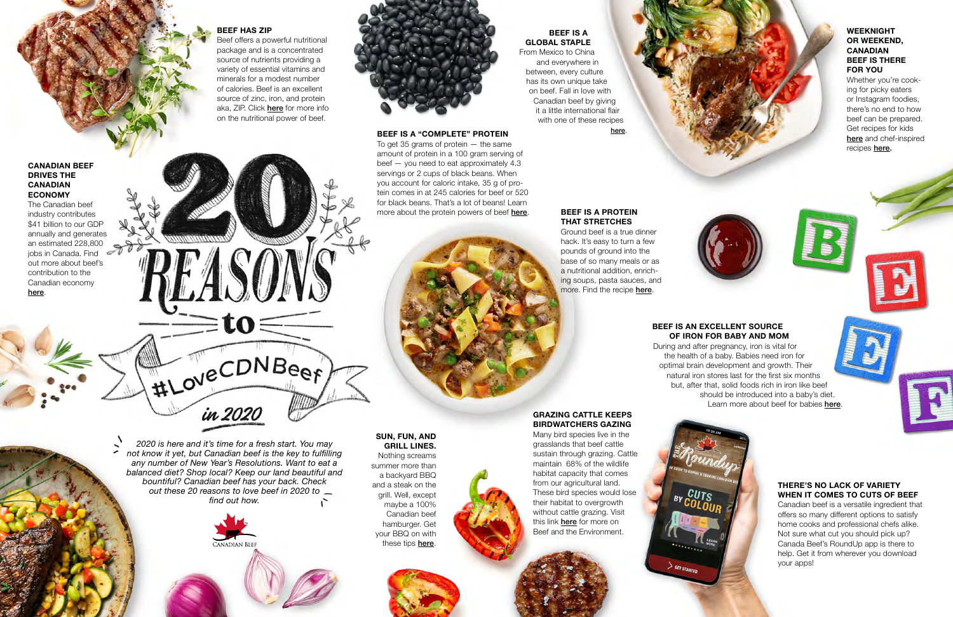*2020 is here and it's time for a fresh start. You may not know it yet, but Canadian beef is the key to fulfilling any number of New Year's Resolutions. Want to eat a balanced diet? Shop local? Keep our land beautiful and bountiful? Canadian beef has your back. Check out these 20 reasons to love beef in 2020 to find out how.*



### **BEEF HAS ZIP**

To get 35 grams of protein — the same amount of protein in a 100 gram serving of beef — you need to eat approximately 4.3 servings or 2 cups of black beans. When you account for caloric intake, 35 g of protein comes in at 245 calories for beef or 520 for black beans. That's a lot of beans! Learn more about the protein powers of beef **[here](http://thinkbeef.ca/nutrition/protein/). BEEF IS A PROTEIN** 

Beef offers a powerful nutritional package and is a concentrated source of nutrients providing a variety of essential vitamins and minerals for a modest number of calories. Beef is an excellent source of zinc, iron, and protein aka, ZIP. Click [here](https://thinkbeef.ca/nutrition/other-vitamins-minerals/) for more info on the nutritional power of beef.



Ground beef is a true dinner hack. It's easy to turn a few pounds of ground into the base of so many meals or as a nutritional addition, enriching soups, pasta sauces, and more. Find the recipe **[here](http://canadabeef.ca/recipes/scratch-big-batch-beef/)**.

During and after pregnancy, iron is vital for the health of a baby. Babies need iron for optimal brain development and growth. Their natural iron stores last for the first six months but, after that, solid foods rich in iron like beef should be introduced into a baby's diet. Learn more about beef for babies [here](http://thinkbeef.ca/nutrition/beef-for-babies/).

#### **BEEF IS A "COMPLETE" PROTEIN**

Nothing screams summer more than a backyard BBQ and a steak on the grill. Well, except maybe a 100% Canadian beef hamburger. Get your BBQ on with these tips **[here](https://canadabeef.ca/all-recipes/recipe-category/steaks/)**.



# **THAT STRETCHES**

Whether you're cooking for picky eaters or Instagram foodies, there's no end to how beef can be prepared. Get recipes for kids [here](https://canadabeef.ca/cooking-method/kid-friendly/) and chef-inspired recipes [here.](https://canadabeef.ca/all-recipes/cooking-method/chef-inspired/)

#### **BEEF IS AN EXCELLENT SOURCE OF IRON FOR BABY AND MOM**

**BEEF IS A GLOBAL STAPLE** From Mexico to China

and everywhere in between, every culture has its own unique take on beef. Fall in love with Canadian beef by giving it a little international flair with one of these recipes [here](http://canadabeef.ca/beef-around-the-world/).

## **SUN, FUN, AND GRILL LINES.**

#### **CANADIAN BEEF DRIVES THE CANADIAN ECONOMY**

The Canadian beef industry contributes \$41 billion to our GDP annually and generates an estimated 228,800 jobs in Canada. Find out more about beef's contribution to the Canadian economy [here](https://www.raisingcdnbeef.ca/beef-and-the-canadian-economy/).



#### **WEEKNIGHT OR WEEKEND, CANADIAN BEEF IS THERE FOR YOU**

# **GRAZING CATTLE KEEPS BIRDWATCHERS GAZING**

Many bird species live in the grasslands that beef cattle sustain through grazing. Cattle maintain 68% of the wildlife habitat capacity that comes from our agricultural land. These bird species would lose their habitat to overgrowth without cattle grazing. Visit this link **[here](http://www.raisingcdnbeef.ca/beef-and-the-environment/)** for more on Beef and the Environment.



#### **THERE'S NO LACK OF VARIETY WHEN IT COMES TO CUTS OF BEEF**

Canadian beef is a versatile ingredient that offers so many different options to satisfy home cooks and professional chefs alike. Not sure what cut you should pick up? Canada Beef's RoundUp app is there to help. Get it from wherever you download your apps!